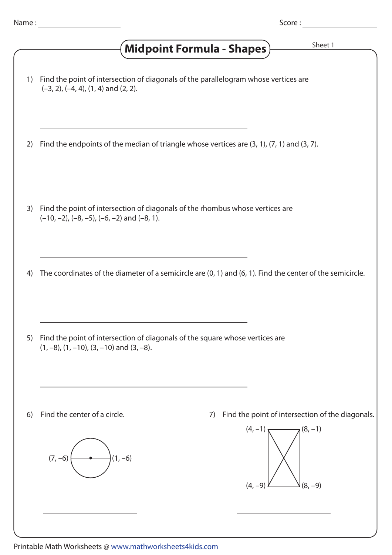|  | Name |  |
|--|------|--|
|  |      |  |

## 1) Find the point of intersection of diagonals of the parallelogram whose vertices are 2) Find the endpoints of the median of triangle whose vertices are (3, 1), (7, 1) and (3, 7). 4) The coordinates of the diameter of a semicircle are (0, 1) and (6, 1). Find the center of the semicircle. 3) Find the point of intersection of diagonals of the rhombus whose vertices are  $(-10, -2)$ ,  $(-8, -5)$ ,  $(-6, -2)$  and  $(-8, 1)$ . 7) Find the point of intersection of the diagonals. 5) Find the point of intersection of diagonals of the square whose vertices are 6) Find the center of a circle. (1, –8), (1, –10), (3, –10) and (3, –8).  $(7, -6)$   $\longleftrightarrow$   $(1, -6)$  (–3, 2), (–4, 4), (1, 4) and (2, 2). (8, –9)  $(4, -1)$  (8, -1)  $(4, -9)$ Midpoint Formula - Shapes) **Shapmer Sheet 1**

Printable Math Worksheets @ www.mathworksheets4kids.com